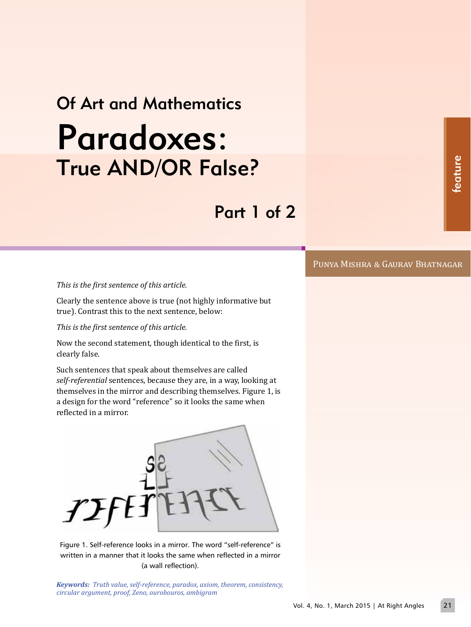# Of Art and Mathematics Paradoxes: True AND/OR False?

Part 1 of 2

### Punya Mishra & Gaurav Bhatnagar

*This is the �irst sentence of this article.*

Clearly the sentence above is true (not highly informative but true). Contrast this to the next sentence, below:

*This is the �irst sentence of this article.*

Now the second statement, though identical to the �irst, is clearly false.

Such sentences that speak about themselves are called *self-referential* sentences, because they are, in a way, looking at themselves in the mirror and describing themselves. Figure 1, is a design for the word "reference" so it looks the same when reflected in a mirror.



Figure 1. Self-reference looks in a mirror. The word "self-reference" is written in a manner that it looks the same when reflected in a mirror (a wall reflection).

*Keywords: Truth value, self-reference, paradox, axiom, theorem, consistency, circular argument, proof, Zeno, ourobouros, ambigram*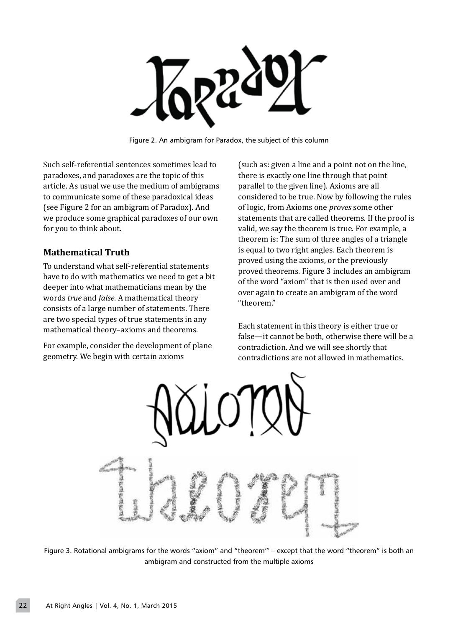

Figure 2. An ambigram for Paradox, the subject of this column

Such self-referential sentences sometimes lead to paradoxes, and paradoxes are the topic of this article. As usual we use the medium of ambigrams to communicate some of these paradoxical ideas (see Figure 2 for an ambigram of Paradox). And we produce some graphical paradoxes of our own for you to think about.

## **Mathematical Truth**

To understand what self-referential statements have to do with mathematics we need to get a bit deeper into what mathematicians mean by the words *true* and *false*. A mathematical theory consists of a large number of statements. There are two special types of true statements in any mathematical theory–axioms and theorems.

For example, consider the development of plane geometry. We begin with certain axioms

(such as: given a line and a point not on the line, there is exactly one line through that point parallel to the given line). Axioms are all considered to be true. Now by following the rules of logic, from Axioms one *proves* some other statements that are called theorems. If the proof is valid, we say the theorem is true. For example, a theorem is: The sum of three angles of a triangle is equal to two right angles. Each theorem is proved using the axioms, or the previously proved theorems. Figure 3 includes an ambigram of the word "axiom" that is then used over and over again to create an ambigram of the word "theorem."

Each statement in this theory is either true or false—it cannot be both, otherwise there will be a contradiction. And we will see shortly that contradictions are not allowed in mathematics.



Figure 3. Rotational ambigrams for the words "axiom" and "theorem"' – except that the word "theorem" is both an ambigram and constructed from the multiple axioms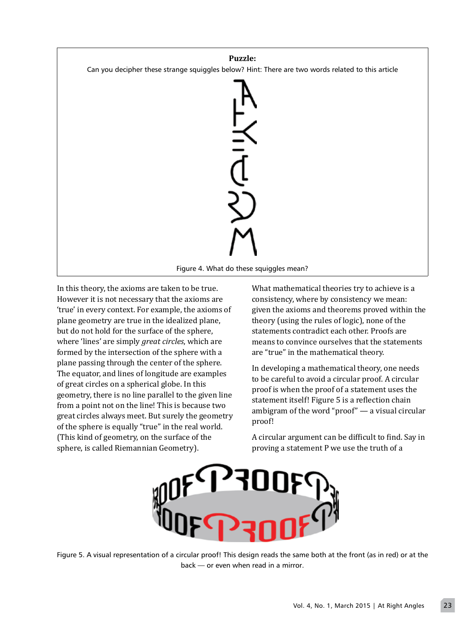

In this theory, the axioms are taken to be true. However it is not necessary that the axioms are 'true' in every context. For example, the axioms of plane geometry are true in the idealized plane, but do not hold for the surface of the sphere, where 'lines' are simply *great circles*, which are formed by the intersection of the sphere with a plane passing through the center of the sphere. The equator, and lines of longitude are examples of great circles on a spherical globe. In this geometry, there is no line parallel to the given line from a point not on the line! This is because two great circles always meet. But surely the geometry of the sphere is equally "true" in the real world. (This kind of geometry, on the surface of the sphere, is called Riemannian Geometry).

What mathematical theories try to achieve is a consistency, where by consistency we mean: given the axioms and theorems proved within the theory (using the rules of logic), none of the statements contradict each other. Proofs are means to convince ourselves that the statements are "true" in the mathematical theory.

In developing a mathematical theory, one needs to be careful to avoid a circular proof. A circular proof is when the proof of a statement uses the statement itself! Figure 5 is a reflection chain ambigram of the word "proof" — a visual circular proof!

A circular argument can be difficult to find. Say in proving a statement P we use the truth of a



Figure 5. A visual representation of a circular proof! This design reads the same both at the front (as in red) or at the back — or even when read in a mirror.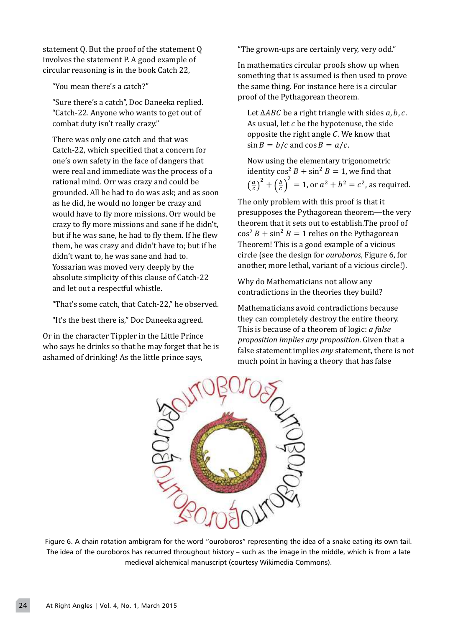statement Q. But the proof of the statement Q involves the statement P. A good example of circular reasoning is in the book Catch 22,

"You mean there's a catch?"

"Sure there's a catch", Doc Daneeka replied. "Catch-22. Anyone who wants to get out of combat duty isn't really crazy."

There was only one catch and that was Catch-22, which specified that a concern for one's own safety in the face of dangers that were real and immediate was the process of a rational mind. Orr was crazy and could be grounded. All he had to do was ask; and as soon as he did, he would no longer be crazy and would have to fly more missions. Orr would be crazy to fly more missions and sane if he didn't, but if he was sane, he had to fly them. If he flew them, he was crazy and didn't have to; but if he didn't want to, he was sane and had to. Yossarian was moved very deeply by the absolute simplicity of this clause of Catch-22 and let out a respectful whistle.

"That's some catch, that Catch-22," he observed.

"It's the best there is," Doc Daneeka agreed.

Or in the character Tippler in the Little Prince who says he drinks so that he may forget that he is ashamed of drinking! As the little prince says,

"The grown-ups are certainly very, very odd."

In mathematics circular proofs show up when something that is assumed is then used to prove the same thing. For instance here is a circular proof of the Pythagorean theorem.

Let  $\triangle ABC$  be a right triangle with sides a, b, c. As usual, let  $c$  be the hypotenuse, the side opposite the right angle  $C$ . We know that  $\sin B = b/c$  and  $\cos B = a/c$ .

Now using the elementary trigonometric identity  $\cos^2 B + \sin^2 B = 1$ , we find that  $\left(\frac{a}{c}\right)^2 + \left(\frac{b}{c}\right)^2$  $\int_{0}^{2}$  = 1, or  $a^2 + b^2 = c^2$ , as required.

The only problem with this proof is that it presupposes the Pythagorean theorem—the very theorem that it sets out to establish.The proof of  $\cos^2 B + \sin^2 B = 1$  relies on the Pythagorean Theorem! This is a good example of a vicious circle (see the design for *ouroboros*, Figure 6, for another, more lethal, variant of a vicious circle!).

Why do Mathematicians not allow any contradictions in the theories they build?

Mathematicians avoid contradictions because they can completely destroy the entire theory. This is because of a theorem of logic: *a false proposition implies any proposition*. �iven that a false statement implies *any* statement, there is not much point in having a theory that has false



Figure 6. A chain rotation ambigram for the word "ouroboros" representing the idea of a snake eating its own tail. The idea of the ouroboros has recurred throughout history – such as the image in the middle, which is from a late medieval alchemical manuscript (courtesy Wikimedia Commons).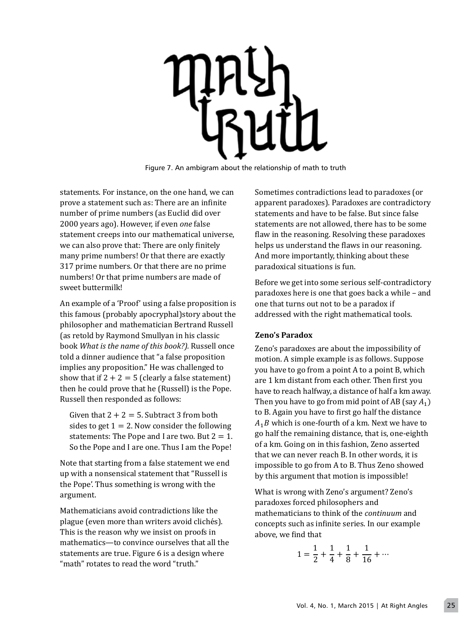Figure 7. An ambigram about the relationship of math to truth

statements. For instance, on the one hand, we can prove a statement such as: There are an in�inite number of prime numbers (as Euclid did over 2000 years ago). However, if even *one* false statement creeps into our mathematical universe, we can also prove that: There are only finitely many prime numbers! Or that there are exactly 317 prime numbers. Or that there are no prime numbers! Or that prime numbers are made of sweet buttermilk!

An example of a 'Proof' using a false proposition is this famous (probably apocryphal)story about the philosopher and mathematician Bertrand Russell (as retold by Raymond Smullyan in his classic book *What is the name of this book?).* Russell once told a dinner audience that "a false proposition implies any proposition." He was challenged to show that if  $2+2=5$  (clearly a false statement) then he could prove that he (Russell) is the Pope. Russell then responded as follows:

Given that  $2+2=5$ . Subtract 3 from both sides to get  $1=2$ . Now consider the following statements: The Pope and I are two. But  $2=1$ . So the Pope and I are one. Thus I am the Pope!

Note that starting from a false statement we end up with a nonsensical statement that "Russell is the Pope'. Thus something is wrong with the argument.

Mathematicians avoid contradictions like the plague (even more than writers avoid clichés). This is the reason why we insist on proofs in mathematics—to convince ourselves that all the statements are true. Figure 6 is a design where "math" rotates to read the word "truth."

Sometimes contradictions lead to paradoxes (or apparent paradoxes). Paradoxes are contradictory statements and have to be false. But since false statements are not allowed, there has to be some flaw in the reasoning. Resolving these paradoxes helps us understand the flaws in our reasoning. And more importantly, thinking about these paradoxical situations is fun.

Before we get into some serious self-contradictory paradoxes here is one that goes back a while – and one that turns out not to be a paradox if addressed with the right mathematical tools.

## **Zeno's Paradox**

Zeno's paradoxes are about the impossibility of motion. A simple example is as follows. Suppose you have to go from a point A to a point B, which are 1 km distant from each other. Then first you have to reach halfway, a distance of half a km away. Then you have to go from mid point of AB (say  $A_1$ ) to B. Again you have to first go half the distance  $A_1B$  which is one-fourth of a km. Next we have to go half the remaining distance, that is, one-eighth of a km. Going on in this fashion, Zeno asserted that we can never reach B. In other words, it is impossible to go from A to B. Thus Zeno showed by this argument that motion is impossible!

What is wrong with Zeno's argument? Zeno's paradoxes forced philosophers and mathematicians to think of the *continuum* and concepts such as in�inite series. In our example above, we �ind that

$$
1 = \frac{1}{2} + \frac{1}{4} + \frac{1}{8} + \frac{1}{16} + \cdots
$$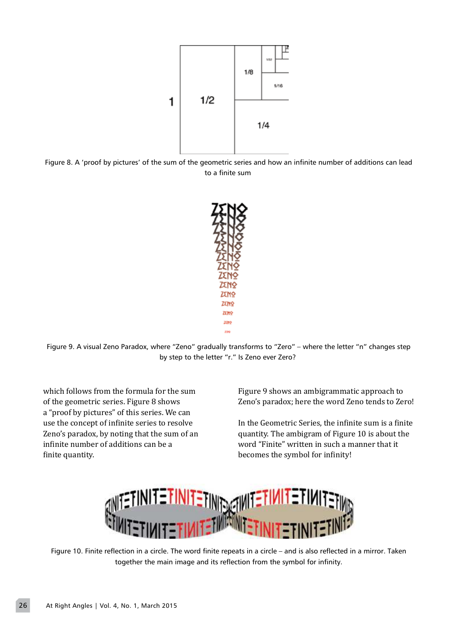

Figure 8. A 'proof by pictures' of the sum of the geometric series and how an infinite number of additions can lead to a finite sum



Figure 9. A visual Zeno Paradox, where "Zeno" gradually transforms to "Zero" – where the letter "n" changes step by step to the letter "r." Is Zeno ever Zero?

which follows from the formula for the sum of the geometric series. Figure 8 shows a "proof by pictures" of this series. We can use the concept of infinite series to resolve Zeno's paradox, by noting that the sum of an infinite number of additions can be a finite quantity.

Figure 9 shows an ambigrammatic approach to Zeno's paradox; here the word Zeno tends to Zero!

In the Geometric Series, the infinite sum is a finite quantity. The ambigram of Figure 10 is about the word "Finite" written in such a manner that it becomes the symbol for infinity!



Figure 10. Finite reflection in a circle. The word finite repeats in a circle – and is also reflected in a mirror. Taken together the main image and its reflection from the symbol for infinity.